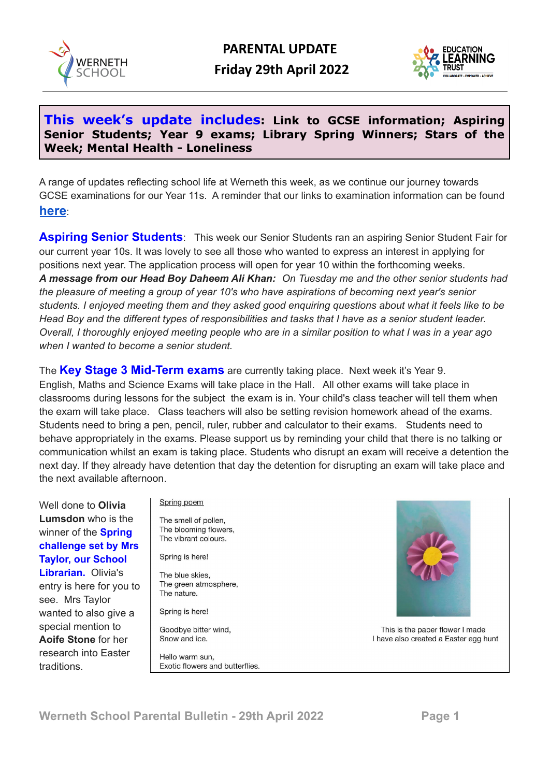



## **This week's update includes: Link to GCSE information; Aspiring Senior Students; Year 9 exams; Library Spring Winners; Stars of the Week; Mental Health - Loneliness**

A range of updates reflecting school life at Werneth this week, as we continue our journey towards GCSE examinations for our Year 11s. A reminder that our links to examination information can be found **[here](https://www.wernethschool.com/staff-students/exam-information)**:

**Aspiring Senior Students**: This week our Senior Students ran an aspiring Senior Student Fair for our current year 10s. It was lovely to see all those who wanted to express an interest in applying for positions next year. The application process will open for year 10 within the forthcoming weeks. *A message from our Head Boy Daheem Ali Khan: On Tuesday me and the other senior students had the pleasure of meeting a group of year 10's who have aspirations of becoming next year's senior* students. I enjoyed meeting them and they asked good enguiring questions about what it feels like to be Head Boy and the different types of responsibilities and tasks that I have as a senior student leader. Overall, I thoroughly enjoyed meeting people who are in a similar position to what I was in a year ago *when I wanted to become a senior student.*

The **Key Stage 3 Mid-Term exams** are currently taking place. Next week it's Year 9. English, Maths and Science Exams will take place in the Hall. All other exams will take place in classrooms during lessons for the subject the exam is in. Your child's class teacher will tell them when the exam will take place. Class teachers will also be setting revision homework ahead of the exams. Students need to bring a pen, pencil, ruler, rubber and calculator to their exams. Students need to behave appropriately in the exams. Please support us by reminding your child that there is no talking or communication whilst an exam is taking place. Students who disrupt an exam will receive a detention the next day. If they already have detention that day the detention for disrupting an exam will take place and the next available afternoon.

Well done to **Olivia Lumsdon** who is the winner of the **Spring challenge set by Mrs Taylor, our School Librarian.** Olivia's entry is here for you to see. Mrs Taylor wanted to also give a special mention to **Aoife Stone** for her research into Easter traditions.

Spring poem

The smell of pollen, The blooming flowers, The vibrant colours.

Spring is here!

The blue skies, The green atmosphere, The nature

Spring is here!

Goodbye bitter wind, Snow and ice.

Hello warm sun. Exotic flowers and butterflies.



This is the paper flower I made I have also created a Easter egg hunt